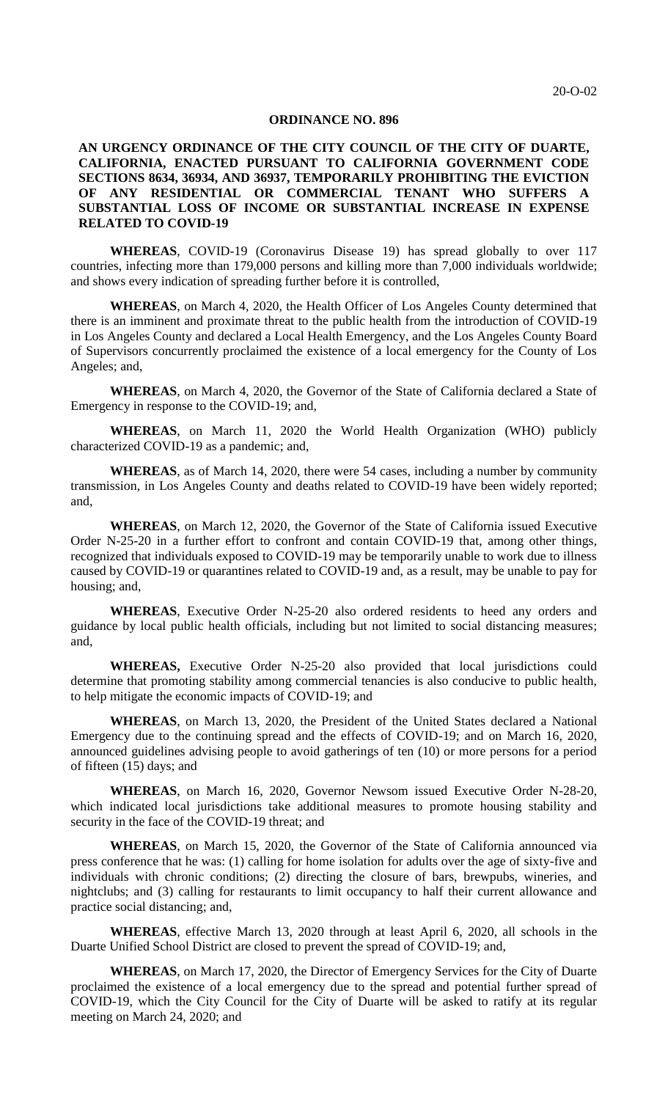#### **ORDINANCE NO. 896**

### **AN URGENCY ORDINANCE OF THE CITY COUNCIL OF THE CITY OF DUARTE, CALIFORNIA, ENACTED PURSUANT TO CALIFORNIA GOVERNMENT CODE SECTIONS 8634, 36934, AND 36937, TEMPORARILY PROHIBITING THE EVICTION OF ANY RESIDENTIAL OR COMMERCIAL TENANT WHO SUFFERS A SUBSTANTIAL LOSS OF INCOME OR SUBSTANTIAL INCREASE IN EXPENSE RELATED TO COVID-19**

**WHEREAS**, COVID-19 (Coronavirus Disease 19) has spread globally to over 117 countries, infecting more than 179,000 persons and killing more than 7,000 individuals worldwide; and shows every indication of spreading further before it is controlled,

**WHEREAS**, on March 4, 2020, the Health Officer of Los Angeles County determined that there is an imminent and proximate threat to the public health from the introduction of COVID-19 in Los Angeles County and declared a Local Health Emergency, and the Los Angeles County Board of Supervisors concurrently proclaimed the existence of a local emergency for the County of Los Angeles; and,

**WHEREAS**, on March 4, 2020, the Governor of the State of California declared a State of Emergency in response to the COVID-19; and,

**WHEREAS**, on March 11, 2020 the World Health Organization (WHO) publicly characterized COVID-19 as a pandemic; and,

**WHEREAS**, as of March 14, 2020, there were 54 cases, including a number by community transmission, in Los Angeles County and deaths related to COVID-19 have been widely reported; and,

**WHEREAS**, on March 12, 2020, the Governor of the State of California issued Executive Order N-25-20 in a further effort to confront and contain COVID-19 that, among other things, recognized that individuals exposed to COVID-19 may be temporarily unable to work due to illness caused by COVID-19 or quarantines related to COVID-19 and, as a result, may be unable to pay for housing; and,

**WHEREAS**, Executive Order N-25-20 also ordered residents to heed any orders and guidance by local public health officials, including but not limited to social distancing measures; and,

WHEREAS, Executive Order N-25-20 also provided that local jurisdictions could determine that promoting stability among commercial tenancies is also conducive to public health, to help mitigate the economic impacts of COVID-19; and

**WHEREAS**, on March 13, 2020, the President of the United States declared a National Emergency due to the continuing spread and the effects of COVID-19; and on March 16, 2020, announced guidelines advising people to avoid gatherings of ten (10) or more persons for a period of fifteen (15) days; and

**WHEREAS**, on March 16, 2020, Governor Newsom issued Executive Order N-28-20, which indicated local jurisdictions take additional measures to promote housing stability and security in the face of the COVID-19 threat; and

**WHEREAS**, on March 15, 2020, the Governor of the State of California announced via press conference that he was: (1) calling for home isolation for adults over the age of sixty-five and individuals with chronic conditions; (2) directing the closure of bars, brewpubs, wineries, and nightclubs; and (3) calling for restaurants to limit occupancy to half their current allowance and practice social distancing; and,

**WHEREAS**, effective March 13, 2020 through at least April 6, 2020, all schools in the Duarte Unified School District are closed to prevent the spread of COVID-19; and,

**WHEREAS**, on March 17, 2020, the Director of Emergency Services for the City of Duarte proclaimed the existence of a local emergency due to the spread and potential further spread of COVID-19, which the City Council for the City of Duarte will be asked to ratify at its regular meeting on March 24, 2020; and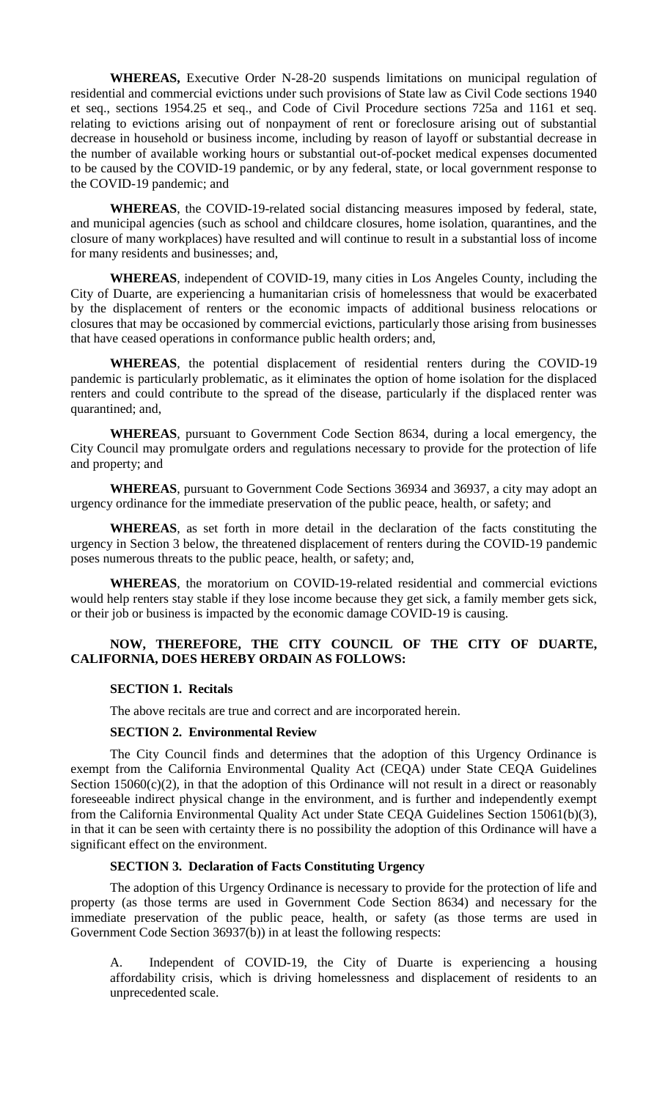**WHEREAS,** Executive Order N-28-20 suspends limitations on municipal regulation of residential and commercial evictions under such provisions of State law as Civil Code sections 1940 et seq., sections 1954.25 et seq., and Code of Civil Procedure sections 725a and 1161 et seq. relating to evictions arising out of nonpayment of rent or foreclosure arising out of substantial decrease in household or business income, including by reason of layoff or substantial decrease in the number of available working hours or substantial out-of-pocket medical expenses documented to be caused by the COVID-19 pandemic, or by any federal, state, or local government response to the COVID-19 pandemic; and

**WHEREAS**, the COVID-19-related social distancing measures imposed by federal, state, and municipal agencies (such as school and childcare closures, home isolation, quarantines, and the closure of many workplaces) have resulted and will continue to result in a substantial loss of income for many residents and businesses; and,

**WHEREAS**, independent of COVID-19, many cities in Los Angeles County, including the City of Duarte, are experiencing a humanitarian crisis of homelessness that would be exacerbated by the displacement of renters or the economic impacts of additional business relocations or closures that may be occasioned by commercial evictions, particularly those arising from businesses that have ceased operations in conformance public health orders; and,

**WHEREAS**, the potential displacement of residential renters during the COVID-19 pandemic is particularly problematic, as it eliminates the option of home isolation for the displaced renters and could contribute to the spread of the disease, particularly if the displaced renter was quarantined; and,

**WHEREAS**, pursuant to Government Code Section 8634, during a local emergency, the City Council may promulgate orders and regulations necessary to provide for the protection of life and property; and

**WHEREAS**, pursuant to Government Code Sections 36934 and 36937, a city may adopt an urgency ordinance for the immediate preservation of the public peace, health, or safety; and

**WHEREAS**, as set forth in more detail in the declaration of the facts constituting the urgency in Section 3 below, the threatened displacement of renters during the COVID-19 pandemic poses numerous threats to the public peace, health, or safety; and,

**WHEREAS**, the moratorium on COVID-19-related residential and commercial evictions would help renters stay stable if they lose income because they get sick, a family member gets sick, or their job or business is impacted by the economic damage COVID-19 is causing.

## **NOW, THEREFORE, THE CITY COUNCIL OF THE CITY OF DUARTE, CALIFORNIA, DOES HEREBY ORDAIN AS FOLLOWS:**

### **SECTION 1. Recitals**

The above recitals are true and correct and are incorporated herein.

#### **SECTION 2. Environmental Review**

The City Council finds and determines that the adoption of this Urgency Ordinance is exempt from the California Environmental Quality Act (CEQA) under State CEQA Guidelines Section  $15060(c)(2)$ , in that the adoption of this Ordinance will not result in a direct or reasonably foreseeable indirect physical change in the environment, and is further and independently exempt from the California Environmental Quality Act under State CEQA Guidelines Section 15061(b)(3), in that it can be seen with certainty there is no possibility the adoption of this Ordinance will have a significant effect on the environment.

### **SECTION 3. Declaration of Facts Constituting Urgency**

The adoption of this Urgency Ordinance is necessary to provide for the protection of life and property (as those terms are used in Government Code Section 8634) and necessary for the immediate preservation of the public peace, health, or safety (as those terms are used in Government Code Section 36937(b)) in at least the following respects:

A. Independent of COVID-19, the City of Duarte is experiencing a housing affordability crisis, which is driving homelessness and displacement of residents to an unprecedented scale.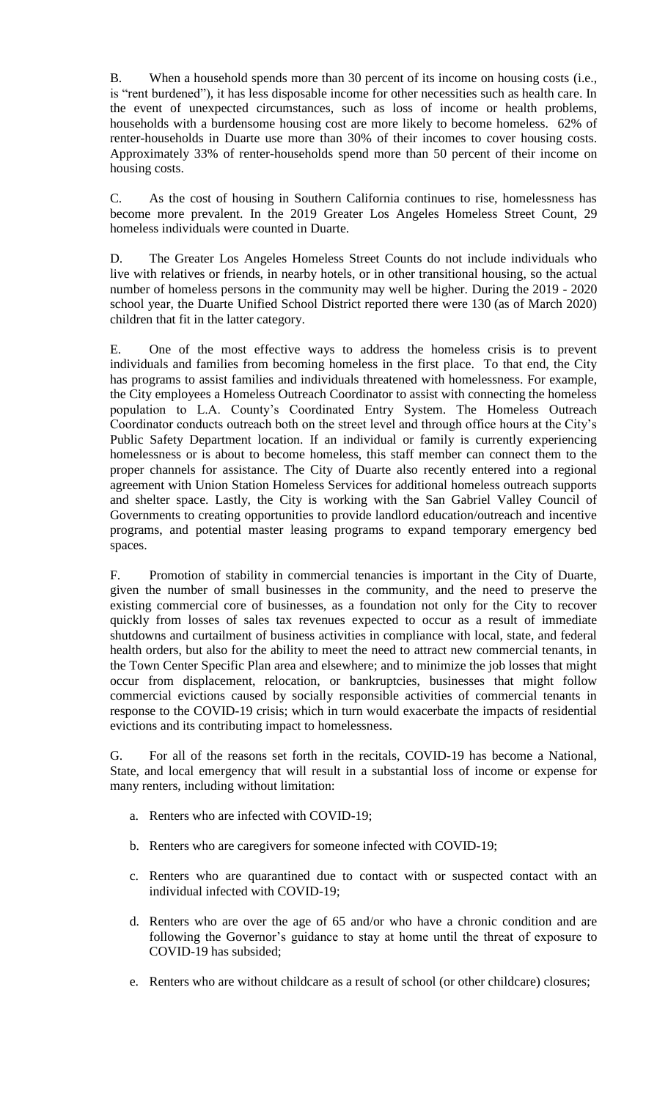B. When a household spends more than 30 percent of its income on housing costs (i.e., is "rent burdened"), it has less disposable income for other necessities such as health care. In the event of unexpected circumstances, such as loss of income or health problems, households with a burdensome housing cost are more likely to become homeless. 62% of renter-households in Duarte use more than 30% of their incomes to cover housing costs. Approximately 33% of renter-households spend more than 50 percent of their income on housing costs.

C. As the cost of housing in Southern California continues to rise, homelessness has become more prevalent. In the 2019 Greater Los Angeles Homeless Street Count, 29 homeless individuals were counted in Duarte.

D. The Greater Los Angeles Homeless Street Counts do not include individuals who live with relatives or friends, in nearby hotels, or in other transitional housing, so the actual number of homeless persons in the community may well be higher. During the 2019 - 2020 school year, the Duarte Unified School District reported there were 130 (as of March 2020) children that fit in the latter category.

E. One of the most effective ways to address the homeless crisis is to prevent individuals and families from becoming homeless in the first place. To that end, the City has programs to assist families and individuals threatened with homelessness. For example, the City employees a Homeless Outreach Coordinator to assist with connecting the homeless population to L.A. County's Coordinated Entry System. The Homeless Outreach Coordinator conducts outreach both on the street level and through office hours at the City's Public Safety Department location. If an individual or family is currently experiencing homelessness or is about to become homeless, this staff member can connect them to the proper channels for assistance. The City of Duarte also recently entered into a regional agreement with Union Station Homeless Services for additional homeless outreach supports and shelter space. Lastly, the City is working with the San Gabriel Valley Council of Governments to creating opportunities to provide landlord education/outreach and incentive programs, and potential master leasing programs to expand temporary emergency bed spaces.

F. Promotion of stability in commercial tenancies is important in the City of Duarte, given the number of small businesses in the community, and the need to preserve the existing commercial core of businesses, as a foundation not only for the City to recover quickly from losses of sales tax revenues expected to occur as a result of immediate shutdowns and curtailment of business activities in compliance with local, state, and federal health orders, but also for the ability to meet the need to attract new commercial tenants, in the Town Center Specific Plan area and elsewhere; and to minimize the job losses that might occur from displacement, relocation, or bankruptcies, businesses that might follow commercial evictions caused by socially responsible activities of commercial tenants in response to the COVID-19 crisis; which in turn would exacerbate the impacts of residential evictions and its contributing impact to homelessness.

G. For all of the reasons set forth in the recitals, COVID-19 has become a National, State, and local emergency that will result in a substantial loss of income or expense for many renters, including without limitation:

- a. Renters who are infected with COVID-19;
- b. Renters who are caregivers for someone infected with COVID-19;
- c. Renters who are quarantined due to contact with or suspected contact with an individual infected with COVID-19;
- d. Renters who are over the age of 65 and/or who have a chronic condition and are following the Governor's guidance to stay at home until the threat of exposure to COVID-19 has subsided;
- e. Renters who are without childcare as a result of school (or other childcare) closures;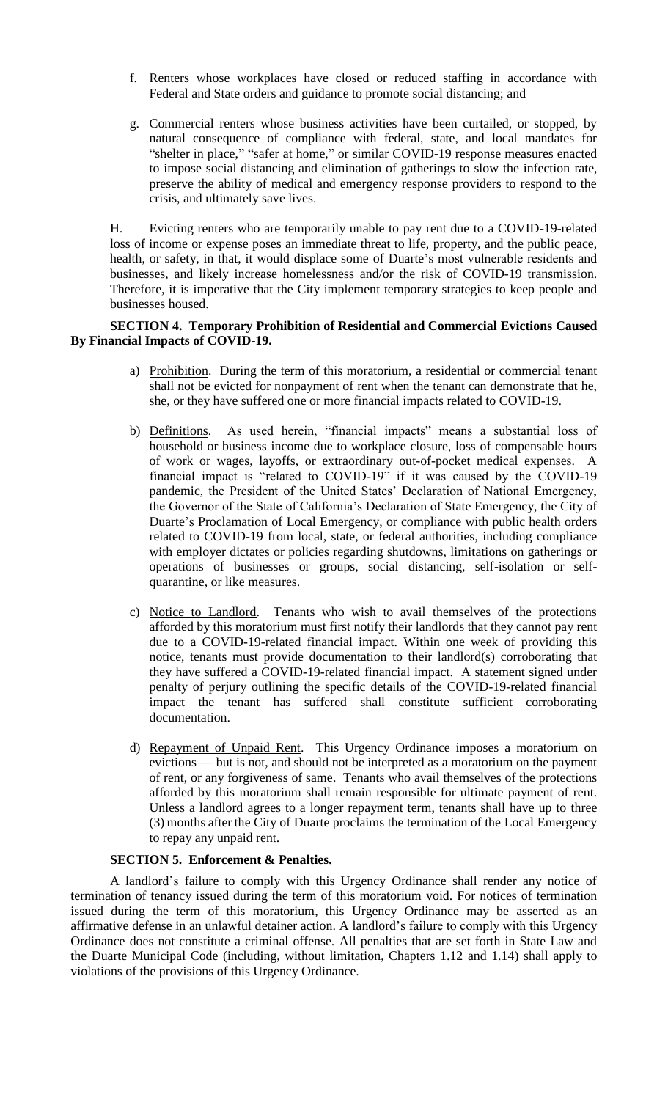- f. Renters whose workplaces have closed or reduced staffing in accordance with Federal and State orders and guidance to promote social distancing; and
- g. Commercial renters whose business activities have been curtailed, or stopped, by natural consequence of compliance with federal, state, and local mandates for "shelter in place," "safer at home," or similar COVID-19 response measures enacted to impose social distancing and elimination of gatherings to slow the infection rate, preserve the ability of medical and emergency response providers to respond to the crisis, and ultimately save lives.

H. Evicting renters who are temporarily unable to pay rent due to a COVID-19-related loss of income or expense poses an immediate threat to life, property, and the public peace, health, or safety, in that, it would displace some of Duarte's most vulnerable residents and businesses, and likely increase homelessness and/or the risk of COVID-19 transmission. Therefore, it is imperative that the City implement temporary strategies to keep people and businesses housed.

### **SECTION 4. Temporary Prohibition of Residential and Commercial Evictions Caused By Financial Impacts of COVID-19.**

- a) Prohibition. During the term of this moratorium, a residential or commercial tenant shall not be evicted for nonpayment of rent when the tenant can demonstrate that he, she, or they have suffered one or more financial impacts related to COVID-19.
- b) Definitions. As used herein, "financial impacts" means a substantial loss of household or business income due to workplace closure, loss of compensable hours of work or wages, layoffs, or extraordinary out-of-pocket medical expenses. A financial impact is "related to COVID-19" if it was caused by the COVID-19 pandemic, the President of the United States' Declaration of National Emergency, the Governor of the State of California's Declaration of State Emergency, the City of Duarte's Proclamation of Local Emergency, or compliance with public health orders related to COVID-19 from local, state, or federal authorities, including compliance with employer dictates or policies regarding shutdowns, limitations on gatherings or operations of businesses or groups, social distancing, self-isolation or selfquarantine, or like measures.
- c) Notice to Landlord. Tenants who wish to avail themselves of the protections afforded by this moratorium must first notify their landlords that they cannot pay rent due to a COVID-19-related financial impact. Within one week of providing this notice, tenants must provide documentation to their landlord(s) corroborating that they have suffered a COVID-19-related financial impact. A statement signed under penalty of perjury outlining the specific details of the COVID-19-related financial impact the tenant has suffered shall constitute sufficient corroborating documentation.
- d) Repayment of Unpaid Rent. This Urgency Ordinance imposes a moratorium on evictions — but is not, and should not be interpreted as a moratorium on the payment of rent, or any forgiveness of same. Tenants who avail themselves of the protections afforded by this moratorium shall remain responsible for ultimate payment of rent. Unless a landlord agrees to a longer repayment term, tenants shall have up to three (3) months after the City of Duarte proclaims the termination of the Local Emergency to repay any unpaid rent.

# **SECTION 5. Enforcement & Penalties.**

A landlord's failure to comply with this Urgency Ordinance shall render any notice of termination of tenancy issued during the term of this moratorium void. For notices of termination issued during the term of this moratorium, this Urgency Ordinance may be asserted as an affirmative defense in an unlawful detainer action. A landlord's failure to comply with this Urgency Ordinance does not constitute a criminal offense. All penalties that are set forth in State Law and the Duarte Municipal Code (including, without limitation, Chapters 1.12 and 1.14) shall apply to violations of the provisions of this Urgency Ordinance.